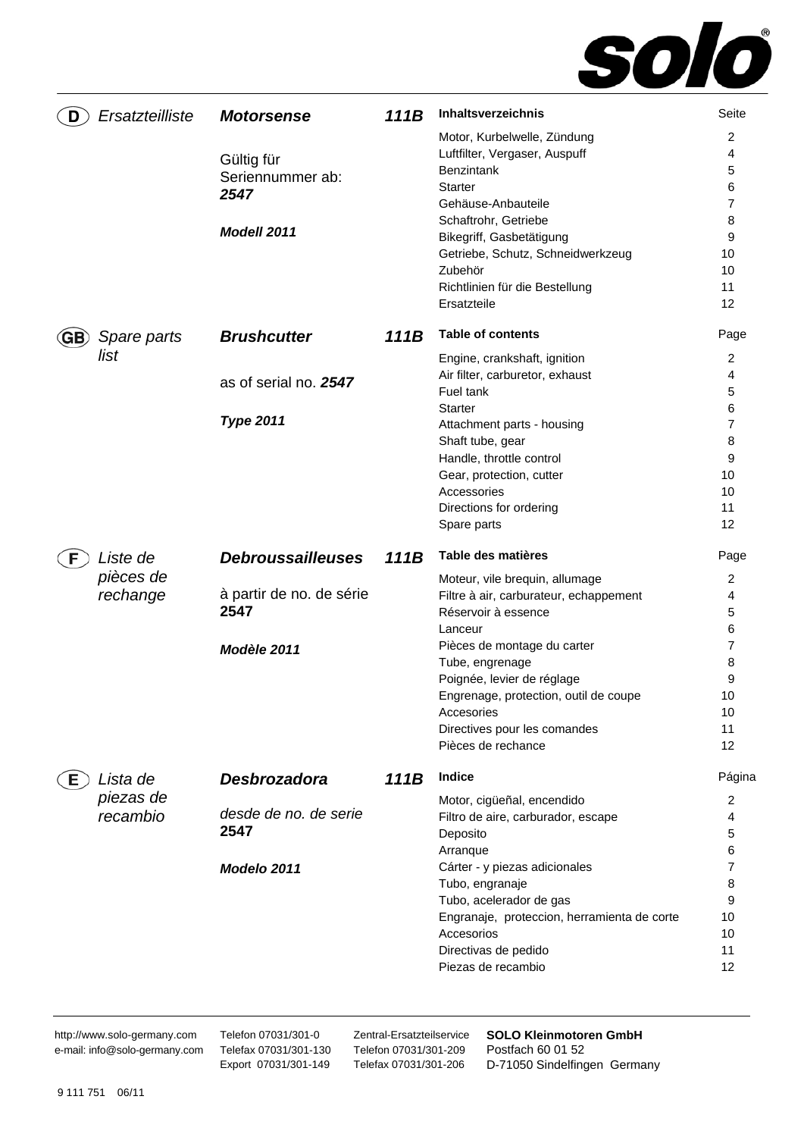

| D   | Ersatzteilliste | <b>Motorsense</b>                      | 111B | Inhaltsverzeichnis                                                                           | Seite            |
|-----|-----------------|----------------------------------------|------|----------------------------------------------------------------------------------------------|------------------|
|     |                 | Gültig für<br>Seriennummer ab:<br>2547 |      | Motor, Kurbelwelle, Zündung<br>Luftfilter, Vergaser, Auspuff<br><b>Benzintank</b><br>Starter | 2<br>4<br>5<br>6 |
|     |                 | Modell 2011                            |      | Gehäuse-Anbauteile<br>Schaftrohr, Getriebe<br>Bikegriff, Gasbetätigung                       | 7<br>8<br>9      |
|     |                 |                                        |      | Getriebe, Schutz, Schneidwerkzeug<br>Zubehör                                                 | 10<br>10         |
|     |                 |                                        |      | Richtlinien für die Bestellung<br>Ersatzteile                                                | 11<br>12         |
| GB. | Spare parts     | <b>Brushcutter</b>                     | 111B | <b>Table of contents</b>                                                                     | Page             |
|     | list            |                                        |      | Engine, crankshaft, ignition                                                                 | 2                |
|     |                 | as of serial no. 2547                  |      | Air filter, carburetor, exhaust                                                              | 4                |
|     |                 |                                        |      | Fuel tank                                                                                    | 5                |
|     |                 | <b>Type 2011</b>                       |      | <b>Starter</b>                                                                               | 6                |
|     |                 |                                        |      | Attachment parts - housing                                                                   | 7                |
|     |                 |                                        |      | Shaft tube, gear                                                                             | 8                |
|     |                 |                                        |      | Handle, throttle control                                                                     | 9                |
|     |                 |                                        |      | Gear, protection, cutter<br>Accessories                                                      | 10<br>10         |
|     |                 |                                        |      | Directions for ordering                                                                      | 11               |
|     |                 |                                        |      | Spare parts                                                                                  | 12               |
|     |                 |                                        |      |                                                                                              |                  |
|     | Liste de        | <b>Debroussailleuses</b>               | 111B | Table des matières                                                                           | Page             |
|     | pièces de       |                                        |      | Moteur, vile brequin, allumage                                                               | 2                |
|     | rechange        | à partir de no. de série               |      | Filtre à air, carburateur, echappement                                                       | 4                |
|     |                 | 2547                                   |      | Réservoir à essence                                                                          | 5                |
|     |                 |                                        |      | Lanceur                                                                                      | 6                |
|     |                 | Modèle 2011                            |      | Pièces de montage du carter                                                                  | 7                |
|     |                 |                                        |      | Tube, engrenage                                                                              | 8                |
|     |                 |                                        |      | Poignée, levier de réglage                                                                   | 9                |
|     |                 |                                        |      | Engrenage, protection, outil de coupe                                                        | 10               |
|     |                 |                                        |      | Accesories                                                                                   | 10               |
|     |                 |                                        |      | Directives pour les comandes<br>Pièces de rechance                                           | 11<br>12         |
| Е.  | Lista de        | Desbrozadora                           | 111B | <b>Indice</b>                                                                                | Página           |
|     | piezas de       |                                        |      | Motor, cigüeñal, encendido                                                                   | 2                |
|     | recambio        | desde de no. de serie                  |      | Filtro de aire, carburador, escape                                                           | 4                |
|     |                 | 2547                                   |      | Deposito                                                                                     | 5                |
|     |                 |                                        |      | Arranque                                                                                     | 6                |
|     |                 | Modelo 2011                            |      | Cárter - y piezas adicionales                                                                | 7                |
|     |                 |                                        |      | Tubo, engranaje                                                                              | 8                |
|     |                 |                                        |      | Tubo, acelerador de gas                                                                      | 9                |
|     |                 |                                        |      | Engranaje, proteccion, herramienta de corte                                                  | 10               |
|     |                 |                                        |      | Accesorios                                                                                   | 10               |
|     |                 |                                        |      | Directivas de pedido<br>Piezas de recambio                                                   | 11<br>12         |

http://www.solo-germany.com e-mail: info@solo-germany.com Telefon 07031/301-0 Telefax 07031/301-130 Export 07031/301-149

Zentral-Ersatzteilservice Telefon 07031/301-209 Telefax 07031/301-206

**SOLO Kleinmotoren GmbH**  Postfach 60 01 52 D-71050 Sindelfingen Germany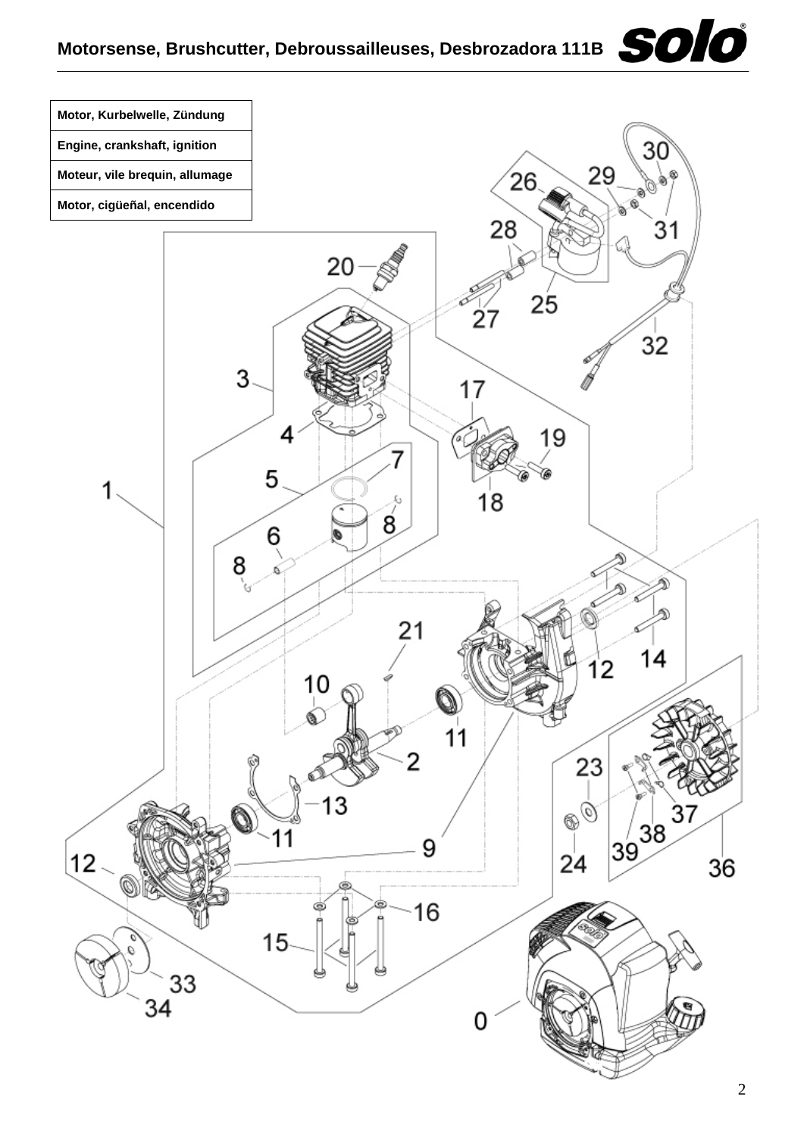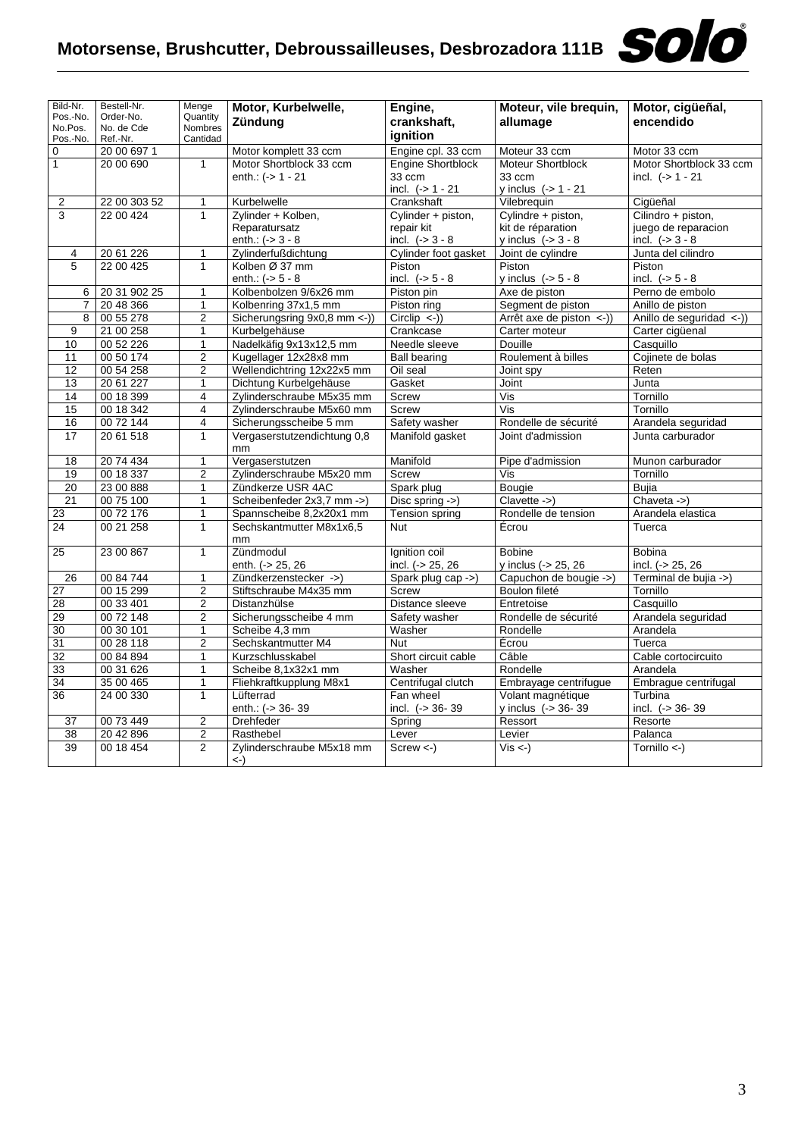| Bild-Nr.            | Bestell-Nr.            | Menge                   | Motor, Kurbelwelle,              | Engine,                   | Moteur, vile brequin,               | Motor, cigüeñal,                                    |
|---------------------|------------------------|-------------------------|----------------------------------|---------------------------|-------------------------------------|-----------------------------------------------------|
| Pos.-No.            | Order-No.              | Quantity                | Zündung                          | crankshaft,               | allumage                            | encendido                                           |
| No.Pos.<br>Pos.-No. | No. de Cde<br>Ref.-Nr. | Nombres<br>Cantidad     |                                  | ignition                  |                                     |                                                     |
| $\mathbf 0$         | 20 00 697 1            |                         | Motor komplett 33 ccm            | Engine cpl. 33 ccm        | Moteur 33 ccm                       | Motor 33 ccm                                        |
| $\overline{1}$      | 20 00 690              | 1                       | Motor Shortblock 33 ccm          | Engine Shortblock         | Moteur Shortblock                   | Motor Shortblock 33 ccm                             |
|                     |                        |                         | enth.: (-> 1 - 21                | 33 ccm                    | 33 ccm                              | incl. $(-51 - 21)$                                  |
|                     |                        |                         |                                  | incl. $(-> 1 - 21$        | y inclus $(-> 1 - 21$               |                                                     |
| 2                   | 22 00 303 52           | 1                       | Kurbelwelle                      | Crankshaft                | Vilebrequin                         | Cigüeñal                                            |
| 3                   | 22 00 424              | 1                       | Zylinder + Kolben,               | Cylinder + piston,        | Cylindre + piston,                  | Cilindro + piston,                                  |
|                     |                        |                         | Reparatursatz                    | repair kit                | kit de réparation                   | juego de reparacion                                 |
|                     |                        |                         | enth.: $(-) 3 - 8$               | incl. $(-53 - 8)$         | y inclus $(-53 - 8)$                | incl. $(-53 - 8)$                                   |
| 4                   | 20 61 226              | 1                       | Zylinderfußdichtung              | Cylinder foot gasket      | Joint de cylindre                   | Junta del cilindro                                  |
| 5                   | 22 00 425              | $\mathbf{1}$            | Kolben Ø 37 mm                   | Piston                    | Piston                              | Piston                                              |
|                     |                        |                         | enth.: $(-5 - 8)$                | incl. $(-5 - 8)$          | y inclus $(-5 - 8)$                 | incl. $(-5 - 8)$                                    |
| 6                   | 20 31 902 25           | $\mathbf{1}$            | Kolbenbolzen 9/6x26 mm           | Piston pin                | Axe de piston                       | Perno de embolo                                     |
| 7                   | 20 48 366              | $\mathbf{1}$            | Kolbenring 37x1,5 mm             | Piston ring               | Segment de piston                   | Anillo de piston                                    |
| 8                   | 00 55 278              | $\overline{c}$          | Sicherungsring 9x0,8 mm <-))     | $Circlip \leq$ )          | Arrêt axe de piston $\leftarrow$ )) | Anillo de seguridad $\left\langle -\right\rangle$ ) |
| 9                   | 21 00 258              | 1                       | Kurbelgehäuse                    | Crankcase                 | Carter moteur                       | Carter cigüenal                                     |
| 10                  | 00 52 226              | $\mathbf{1}$            | Nadelkäfig 9x13x12,5 mm          | Needle sleeve             | Douille                             | Casquillo                                           |
| 11                  | 00 50 174              | $\overline{2}$          | Kugellager 12x28x8 mm            | <b>Ball bearing</b>       | Roulement à billes                  | Cojinete de bolas                                   |
| $\overline{12}$     | 00 54 258              | $\overline{2}$          | Wellendichtring 12x22x5 mm       | Oil seal                  | Joint spy                           | Reten                                               |
| 13                  | 20 61 227              | $\mathbf{1}$            | Dichtung Kurbelgehäuse           | Gasket                    | Joint                               | Junta                                               |
| 14                  | 00 18 399              | $\overline{\mathbf{4}}$ | Zylinderschraube M5x35 mm        | <b>Screw</b>              | Vis                                 | Tornillo                                            |
| 15                  | 00 18 342              | 4                       | Zylinderschraube M5x60 mm        | <b>Screw</b>              | Vis                                 | Tornillo                                            |
| 16                  | 00 72 144              | 4                       | Sicherungsscheibe 5 mm           | Safety washer             | Rondelle de sécurité                | Arandela seguridad                                  |
| 17                  | 20 61 518              | $\mathbf{1}$            | Vergaserstutzendichtung 0,8      | Manifold gasket           | Joint d'admission                   | Junta carburador                                    |
|                     |                        |                         | mm                               |                           |                                     |                                                     |
| 18                  | 20 74 434              | $\mathbf{1}$            | Vergaserstutzen                  | Manifold                  | Pipe d'admission                    | Munon carburador                                    |
| 19                  | 00 18 337              | $\overline{2}$          | Zylinderschraube M5x20 mm        | Screw                     | Vis                                 | Tornillo                                            |
| 20                  | 23 00 888              | $\mathbf{1}$            | Zündkerze USR 4AC                | Spark plug                | Bougie                              | <b>Bujia</b>                                        |
| 21                  | 00 75 100              | 1                       | Scheibenfeder 2x3,7 mm ->)       | Disc spring $\rightarrow$ | $Clavette ->$                       | Chaveta ->)                                         |
| 23                  | 00 72 176              | $\mathbf{1}$            | Spannscheibe 8,2x20x1 mm         | Tension spring            | Rondelle de tension                 | Arandela elastica                                   |
| 24                  | 00 21 258              | $\mathbf{1}$            | Sechskantmutter M8x1x6,5<br>mm   | <b>Nut</b>                | Écrou                               | Tuerca                                              |
| 25                  | 23 00 867              | $\mathbf{1}$            | Zündmodul                        | Ignition coil             | <b>Bobine</b>                       | <b>Bobina</b>                                       |
|                     |                        |                         | enth. (-> 25, 26                 | incl. (-> 25, 26          | y inclus (-> 25, 26                 | incl. $(-25, 26)$                                   |
| 26                  | 00 84 744              | $\mathbf{1}$            | Zündkerzenstecker ->)            | Spark plug cap ->)        | Capuchon de bougie ->)              | Terminal de bujia ->)                               |
| 27                  | 00 15 299              | $\boldsymbol{2}$        | Stiftschraube M4x35 mm           | Screw                     | Boulon fileté                       | Tornillo                                            |
| 28                  | 00 33 401              | $\overline{2}$          | Distanzhülse                     | Distance sleeve           | Entretoise                          | Casquillo                                           |
| 29                  | 00 72 148              | 2                       | Sicherungsscheibe 4 mm           | Safety washer             | Rondelle de sécurité                | Arandela seguridad                                  |
| 30                  | 00 30 101              | $\mathbf{1}$            | Scheibe 4,3 mm                   | Washer                    | Rondelle                            | Arandela                                            |
| 31                  | 00 28 118              | $\overline{2}$          | Sechskantmutter M4               | <b>Nut</b>                | Écrou                               | Tuerca                                              |
| 32                  | 00 84 894              | $\mathbf{1}$            | Kurzschlusskabel                 | Short circuit cable       | Câble                               | Cable cortocircuito                                 |
| 33                  | 00 31 626              | $\mathbf{1}$            | Scheibe 8,1x32x1 mm              | Washer                    | Rondelle                            | Arandela                                            |
| 34                  | 35 00 465              | $\mathbf 1$             | Fliehkraftkupplung M8x1          | Centrifugal clutch        | Embrayage centrifugue               | Embrague centrifugal                                |
| 36                  | 24 00 330              | $\mathbf{1}$            | Lüfterrad                        | Fan wheel                 | Volant magnétique                   | Turbina                                             |
|                     |                        |                         | enth.: (-> 36-39                 | incl. $(-5.36 - 39)$      | y inclus $(-5.36 - 39)$             | incl. (-> 36-39                                     |
| 37                  | 00 73 449              | $\boldsymbol{2}$        | <b>Drehfeder</b>                 | Spring                    | Ressort                             | Resorte                                             |
| 38                  | 20 42 896              | $\boldsymbol{2}$        | Rasthebel                        | Lever                     | Levier                              | Palanca                                             |
| $\overline{39}$     | 00 18 454              | $\overline{2}$          | Zylinderschraube M5x18 mm<br><-) | $Screw < -$ )             | $\overline{Vis}$ <-)                | Tornillo $\leftarrow$ )                             |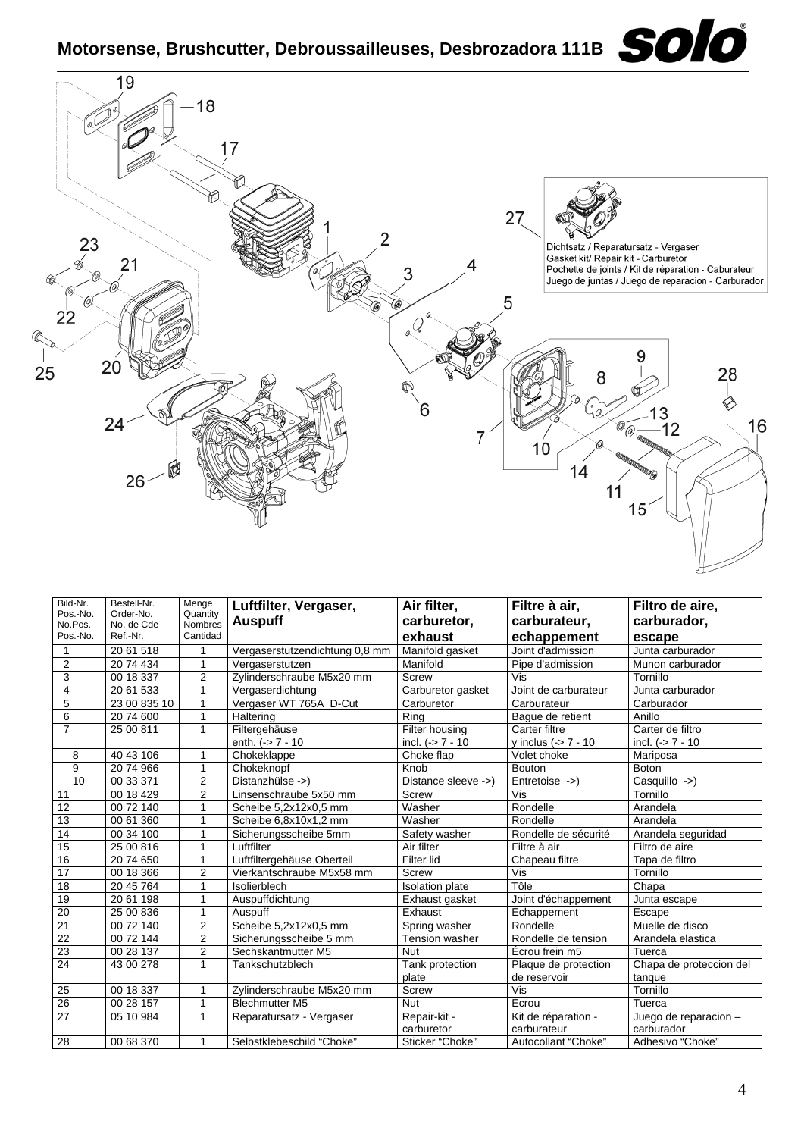

| Bild-Nr.            | Bestell-Nr.             | Menge               | Luftfilter, Vergaser,          | Air filter,            | Filtre à air,        | Filtro de aire,         |
|---------------------|-------------------------|---------------------|--------------------------------|------------------------|----------------------|-------------------------|
| Pos.-No.<br>No.Pos. | Order-No.<br>No. de Cde | Quantity<br>Nombres | <b>Auspuff</b>                 | carburetor,            | carburateur,         | carburador,             |
| Pos.-No.            | Ref.-Nr.                | Cantidad            |                                | exhaust                | echappement          | escape                  |
| 1                   | 20 61 518               |                     | Vergaserstutzendichtung 0,8 mm | Manifold gasket        | Joint d'admission    | Junta carburador        |
| $\overline{2}$      | 20 74 434               | 1                   | Vergaserstutzen                | Manifold               | Pipe d'admission     | Munon carburador        |
| 3                   | 00 18 337               | $\overline{2}$      | Zvlinderschraube M5x20 mm      | <b>Screw</b>           | Vis                  | Tornillo                |
| 4                   | 20 61 533               | 1                   | Vergaserdichtung               | Carburetor gasket      | Joint de carburateur | Junta carburador        |
| 5                   | 23 00 835 10            | 1                   | Vergaser WT 765A D-Cut         | Carburetor             | Carburateur          | Carburador              |
| 6                   | 20 74 600               | $\mathbf{1}$        | Haltering                      | Rina                   | Baque de retient     | Anillo                  |
| $\overline{7}$      | 25 00 811               | $\mathbf{1}$        | Filtergehäuse                  | Filter housing         | Carter filtre        | Carter de filtro        |
|                     |                         |                     | enth. $(-57 - 10)$             | incl. $(-57 - 10)$     | y inclus $(-57 - 10$ | incl. $(-57 - 10)$      |
| 8                   | 40 43 106               | 1                   | Chokeklappe                    | Choke flap             | Volet choke          | Mariposa                |
| $\overline{9}$      | 2074966                 | 1                   | Chokeknopf                     | Knob                   | <b>Bouton</b>        | <b>Boton</b>            |
| 10                  | 00 33 371               | $\overline{2}$      | Distanzhülse ->)               | Distance sleeve ->)    | $Entretoise ->$      | Casquillo ->)           |
| 11                  | 00 18 429               | $\overline{2}$      | Linsenschraube 5x50 mm         | <b>Screw</b>           | Vis                  | Tornillo                |
| 12                  | 00 72 140               | 1                   | Scheibe 5,2x12x0,5 mm          | Washer                 | Rondelle             | Arandela                |
| 13                  | 00 61 360               | 1                   | Scheibe 6,8x10x1,2 mm          | Washer                 | Rondelle             | Arandela                |
| 14                  | 00 34 100               | 1                   | Sicherungsscheibe 5mm          | Safety washer          | Rondelle de sécurité | Arandela seguridad      |
| 15                  | 25 00 816               | 1                   | Luftfilter                     | Air filter             | Filtre à air         | Filtro de aire          |
| 16                  | 20 74 650               | 1                   | Luftfiltergehäuse Oberteil     | Filter lid             | Chapeau filtre       | Tapa de filtro          |
| $\overline{17}$     | 00 18 366               | 2                   | Vierkantschraube M5x58 mm      | Screw                  | Vis                  | Tornillo                |
| 18                  | 20 45 764               | 1                   | Isolierblech                   | <b>Isolation plate</b> | Tôle                 | Chapa                   |
| 19                  | 20 61 198               | 1                   | Auspuffdichtung                | Exhaust gasket         | Joint d'échappement  | Junta escape            |
| 20                  | 25 00 836               | 1                   | Auspuff                        | Exhaust                | Échappement          | Escape                  |
| 21                  | 00 72 140               | $\overline{2}$      | Scheibe 5,2x12x0,5 mm          | Spring washer          | Rondelle             | Muelle de disco         |
| 22                  | 00 72 144               | $\overline{2}$      | Sicherungsscheibe 5 mm         | <b>Tension washer</b>  | Rondelle de tension  | Arandela elastica       |
| 23                  | 00 28 137               | $\overline{2}$      | Sechskantmutter M5             | <b>Nut</b>             | Écrou frein m5       | Tuerca                  |
| $\overline{24}$     | 43 00 278               | $\mathbf{1}$        | Tankschutzblech                | Tank protection        | Plaque de protection | Chapa de proteccion del |
|                     |                         |                     |                                | plate                  | de reservoir         | tanque                  |
| 25                  | 00 18 337               | 1                   | Zylinderschraube M5x20 mm      | Screw                  | Vis                  | Tornillo                |
| $\overline{26}$     | 00 28 157               | 1                   | <b>Blechmutter M5</b>          | <b>Nut</b>             | Écrou                | Tuerca                  |
| 27                  | 05 10 984               | 1                   | Reparatursatz - Vergaser       | Repair-kit -           | Kit de réparation -  | Juego de reparacion -   |
|                     |                         |                     |                                | carburetor             | carburateur          | carburador              |
| 28                  | 00 68 370               | 1                   | Selbstklebeschild "Choke"      | Sticker "Choke"        | Autocollant "Choke"  | Adhesivo "Choke"        |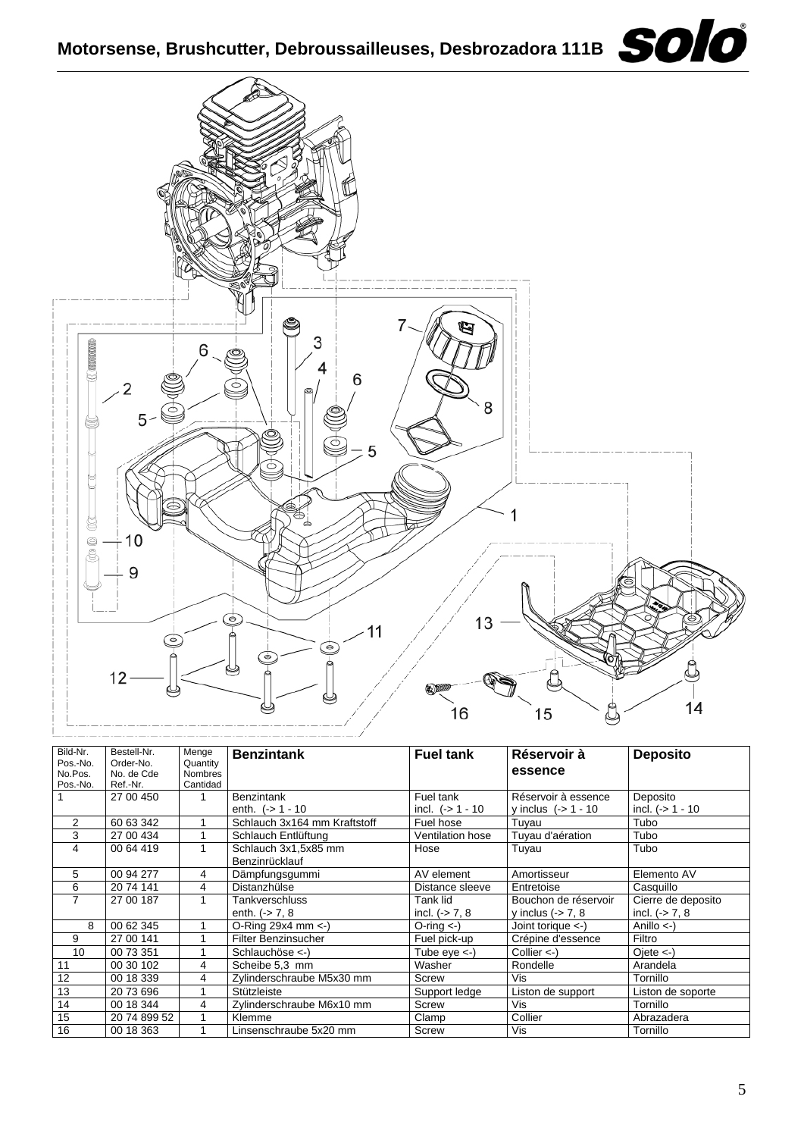

| Bild-Nr. | Bestell-Nr.  | Menge          | <b>Benzintank</b>                   | <b>Fuel tank</b>   | Réservoir à            | <b>Deposito</b>       |
|----------|--------------|----------------|-------------------------------------|--------------------|------------------------|-----------------------|
| Pos.-No. | Order-No.    | Quantity       |                                     |                    |                        |                       |
| No.Pos.  | No. de Cde   | <b>Nombres</b> |                                     |                    | essence                |                       |
| Pos.-No. | Ref.-Nr.     | Cantidad       |                                     |                    |                        |                       |
|          | 27 00 450    |                | <b>Benzintank</b>                   | Fuel tank          | Réservoir à essence    | Deposito              |
|          |              |                | enth. $(-) 1 - 10$                  | incl. $(-51 - 10$  | y inclus $(-51 - 10$   | incl. $(-51 - 10)$    |
| 2        | 60 63 342    |                | Schlauch 3x164 mm Kraftstoff        | Fuel hose          | Tuyau                  | Tubo                  |
| 3        | 27 00 434    |                | Schlauch Entlüftung                 | Ventilation hose   | Tuyau d'aération       | Tubo                  |
| 4        | 00 64 419    |                | Schlauch 3x1,5x85 mm                | Hose               | Tuyau                  | Tubo                  |
|          |              |                | Benzinrücklauf                      |                    |                        |                       |
| 5        | 00 94 277    | 4              | Dämpfungsgummi                      | AV element         | Amortisseur            | Elemento AV           |
| 6        | 20 74 141    | 4              | Distanzhülse                        | Distance sleeve    | Entretoise             | Casquillo             |
| 7        | 27 00 187    |                | Tankverschluss                      | Tank lid           | Bouchon de réservoir   | Cierre de deposito    |
|          |              |                | enth. $(-5)$ 7, 8                   | incl. $(-5)$ 7, 8  | y inclus $(-5, 7, 8)$  | incl. $(-5)$ 7, 8     |
| 8        | 00 62 345    |                | O-Ring $29x4$ mm $\leftarrow$ )     | $O$ -ring $\lt$ -) | Joint torique $\lt$ -) | Anillo $\leftarrow$ ) |
| 9        | 27 00 141    |                | <b>Filter Benzinsucher</b>          | Fuel pick-up       | Crépine d'essence      | Filtro                |
| 10       | 00 73 351    |                | Schlauchöse $\langle \cdot \rangle$ | Tube $eye < -$ )   | Collier $\lt$ -)       | $Oiete < -$           |
| 11       | 00 30 102    | 4              | Scheibe 5,3 mm                      | Washer             | Rondelle               | Arandela              |
| 12       | 00 18 339    | 4              | Zylinderschraube M5x30 mm           | Screw              | Vis                    | Tornillo              |
| 13       | 20 73 696    |                | Stützleiste                         | Support ledge      | Liston de support      | Liston de soporte     |
| 14       | 00 18 344    | 4              | Zylinderschraube M6x10 mm           | Screw              | <b>Vis</b>             | Tornillo              |
| 15       | 20 74 899 52 |                | Klemme                              | Clamp              | Collier                | Abrazadera            |
| 16       | 00 18 363    |                | Linsenschraube 5x20 mm              | Screw              | Vis                    | Tornillo              |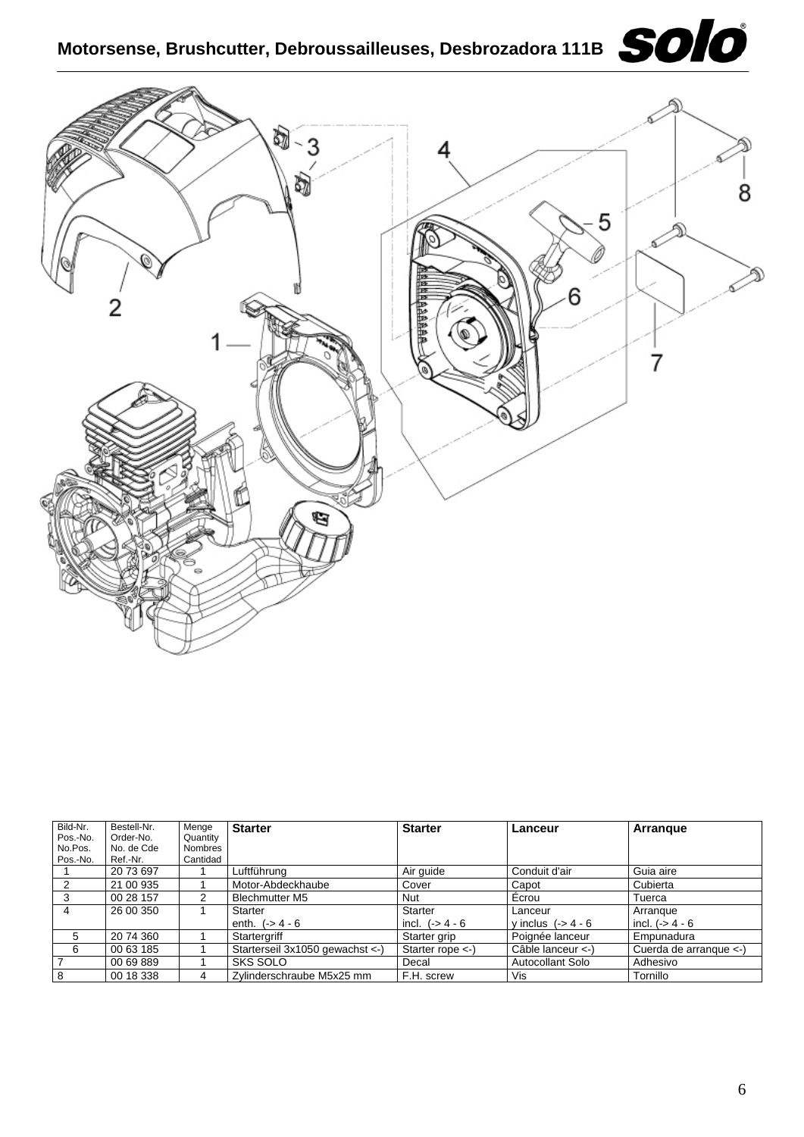

| Bild-Nr.       | Bestell-Nr. | Menge          | <b>Starter</b>                   | <b>Starter</b>              | Lanceur             | Arrangue               |
|----------------|-------------|----------------|----------------------------------|-----------------------------|---------------------|------------------------|
| Pos.-No.       | Order-No.   | Quantity       |                                  |                             |                     |                        |
| No.Pos.        | No. de Cde  | <b>Nombres</b> |                                  |                             |                     |                        |
| Pos.-No.       | Ref.-Nr.    | Cantidad       |                                  |                             |                     |                        |
|                | 20 73 697   |                | ∟uftführung                      | Air quide                   | Conduit d'air       | Guia aire              |
| 2              | 21 00 935   |                | Motor-Abdeckhaube                | Cover                       | Capot               | Cubierta               |
| 3              | 00 28 157   |                | <b>Blechmutter M5</b>            | Nut                         | Écrou               | Tuerca                 |
| 4              | 26 00 350   |                | Starter                          | Starter                     | Lanceur             | Arrangue               |
|                |             |                | enth. $(-) 4 - 6$                | incl. $(-54 - 6$            | y inclus $(-54 - 6$ | incl. $(-54 - 6$       |
| 5              | 20 74 360   |                | Startergriff                     | Starter grip                | Poignée lanceur     | Empunadura             |
| 6              | 00 63 185   |                | Starterseil 3x1050 gewachst <- ) | Starter rope $\leftarrow$ ) | Câble lanceur <-)   | Cuerda de arrangue <-) |
| $\overline{7}$ | 00 69 889   |                | <b>SKS SOLO</b>                  | Decal                       | Autocollant Solo    | Adhesivo               |
| 8              | 00 18 338   | 4              | Zylinderschraube M5x25 mm        | F.H. screw                  | Vis                 | Tornillo               |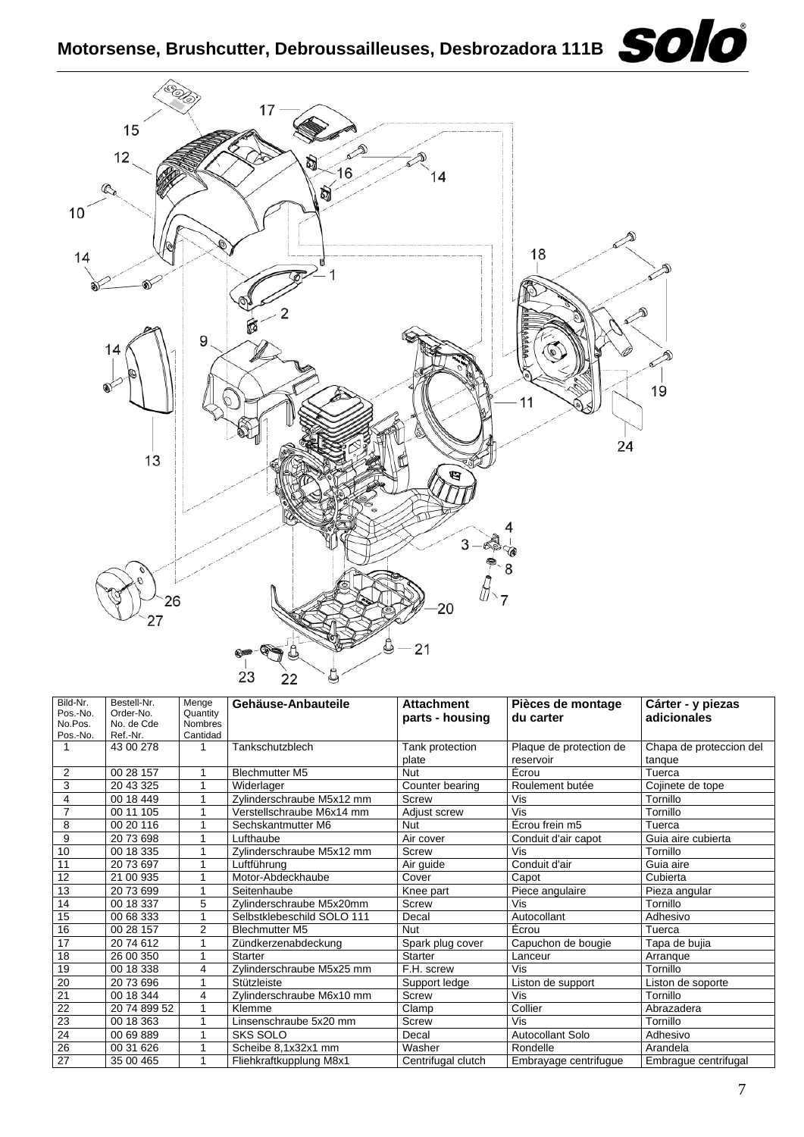

| Bild-Nr.        | Bestell-Nr.          | Menge          | Gehäuse-Anbauteile         | <b>Attachment</b>   | Pièces de montage       | Cárter - y piezas       |
|-----------------|----------------------|----------------|----------------------------|---------------------|-------------------------|-------------------------|
| Pos.-No.        | Order-No.            | Quantity       |                            | parts - housing     | du carter               | adicionales             |
| No.Pos.         | No. de Cde           | <b>Nombres</b> |                            |                     |                         |                         |
| Pos.-No.        | Ref.-Nr.             | Cantidad       |                            |                     |                         |                         |
|                 | 43 00 278            | 1              | Tankschutzblech            | Tank protection     | Plaque de protection de | Chapa de proteccion del |
|                 |                      |                |                            | plate               | reservoir               | tanque                  |
| $\overline{2}$  | 00 28 157            | 1              | <b>Blechmutter M5</b>      | Nut                 | Écrou                   | Tuerca                  |
| 3               | 20 43 325            |                | Widerlager                 | Counter bearing     | Roulement butée         | Cojinete de tope        |
| 4               | 00 18 449            | 1              | Zylinderschraube M5x12 mm  | Screw               | Vis                     | Tornillo                |
| $\overline{7}$  | 00 11 105            | 1              | Verstellschraube M6x14 mm  | <b>Adiust screw</b> | Vis                     | Tornillo                |
| 8               | 00 20 116            |                | Sechskantmutter M6         | <b>Nut</b>          | Écrou frein m5          | Tuerca                  |
| 9               | 2073698              |                | Lufthaube                  | Air cover           | Conduit d'air capot     | Guia aire cubierta      |
| 10              | 00 18 335            |                | Zylinderschraube M5x12 mm  | Screw               | Vis                     | Tornillo                |
| 11              | 20 73 697            | 1              | Luftführung                | Air guide           | Conduit d'air           | Guia aire               |
| 12              | 21 00 935            | 1              | Motor-Abdeckhaube          | Cover               | Capot                   | Cubierta                |
| 13              | 2073699              |                | Seitenhaube                | Knee part           | Piece angulaire         | Pieza angular           |
| 14              | 00 18 337            | 5              | Zylinderschraube M5x20mm   | Screw               | Vis                     | Tornillo                |
| 15              | 00 68 333            |                | Selbstklebeschild SOLO 111 | Decal               | Autocollant             | Adhesivo                |
| 16              | 00 28 157            | $\overline{2}$ | <b>Blechmutter M5</b>      | <b>Nut</b>          | Écrou                   | Tuerca                  |
| $\overline{17}$ | 2074612              |                | Zündkerzenabdeckung        | Spark plug cover    | Capuchon de bougie      | Tapa de bujia           |
| 18              | 26 00 350            |                | Starter                    | <b>Starter</b>      | Lanceur                 | Arranque                |
| 19              | 00 18 338            | 4              | Zylinderschraube M5x25 mm  | F.H. screw          | Vis                     | Tornillo                |
| $\overline{20}$ | 2073696              | 1              | Stützleiste                | Support ledge       | Liston de support       | Liston de soporte       |
| 21              | $\overline{0018}344$ | 4              | Zylinderschraube M6x10 mm  | Screw               | Vis                     | Tornillo                |
| 22              | 20 74 899 52         |                | Klemme                     | Clamp               | Collier                 | Abrazadera              |
| 23              | 00 18 363            |                | Linsenschraube 5x20 mm     | <b>Screw</b>        | Vis                     | Tornillo                |
| 24              | 00 69 889            |                | <b>SKS SOLO</b>            | Decal               | Autocollant Solo        | Adhesivo                |
| $\overline{26}$ | 00 31 626            |                | Scheibe 8,1x32x1 mm        | Washer              | Rondelle                | Arandela                |
| $\overline{27}$ | 35 00 465            |                | Fliehkraftkupplung M8x1    | Centrifugal clutch  | Embrayage centrifugue   | Embrague centrifugal    |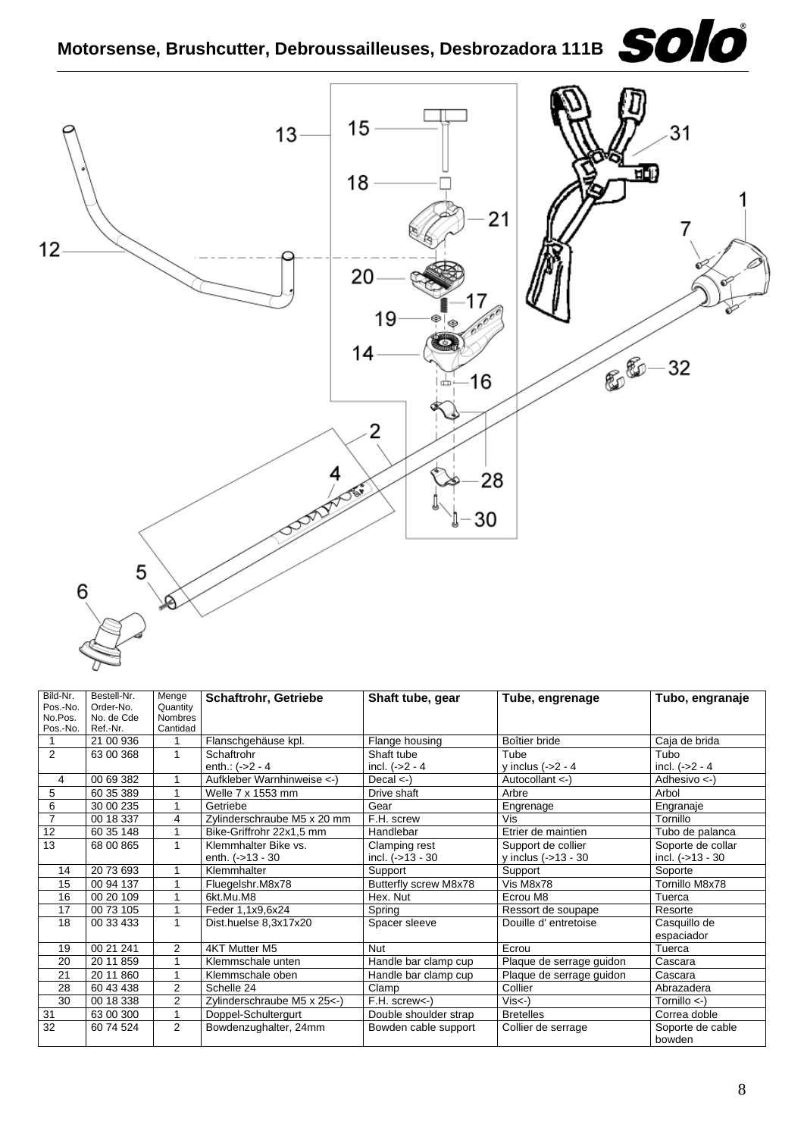

| Bild-Nr.        | Bestell-Nr. | Menge          | <b>Schaftrohr, Getriebe</b> | Shaft tube, gear      | Tube, engrenage          | Tubo, engranaje         |
|-----------------|-------------|----------------|-----------------------------|-----------------------|--------------------------|-------------------------|
| Pos.-No.        | Order-No.   | Quantity       |                             |                       |                          |                         |
| No.Pos.         | No. de Cde  | <b>Nombres</b> |                             |                       |                          |                         |
| Pos.-No.        | Ref.-Nr.    | Cantidad       |                             |                       |                          |                         |
|                 | 21 00 936   |                | Flanschgehäuse kpl.         | Flange housing        | Boîtier bride            | Caja de brida           |
| $\overline{2}$  | 63 00 368   | $\mathbf{1}$   | Schaftrohr                  | Shaft tube            | Tube                     | Tubo                    |
|                 |             |                | enth.: $(-2 - 4)$           | incl. $(-2 - 4)$      | y inclus $(-2 - 4)$      | incl. $(-2 - 4)$        |
| 4               | 00 69 382   |                | Aufkleber Warnhinweise <-)  | Decal $\lt$ -)        | Autocollant <-)          | Adhesivo $\leftarrow$ ) |
| 5               | 60 35 389   |                | Welle 7 x 1553 mm           | Drive shaft           | Arbre                    | Arbol                   |
| 6               | 30 00 235   | 1              | Getriebe                    | Gear                  | Engrenage                | Engranaje               |
| $\overline{7}$  | 00 18 337   | 4              | Zylinderschraube M5 x 20 mm | F.H. screw            | Vis                      | Tornillo                |
| $\overline{12}$ | 60 35 148   |                | Bike-Griffrohr 22x1,5 mm    | Handlebar             | Etrier de maintien       | Tubo de palanca         |
| $\overline{13}$ | 68 00 865   | 1              | Klemmhalter Bike vs.        | Clamping rest         | Support de collier       | Soporte de collar       |
|                 |             |                | enth. $(-13 - 30)$          | incl. $(-513 - 30)$   | y inclus $(-13 - 30)$    | incl. $(-513 - 30)$     |
| 14              | 20 73 693   |                | Klemmhalter                 | Support               | Support                  | Soporte                 |
| 15              | 00 94 137   | 4              | Fluegelshr.M8x78            | Butterfly screw M8x78 | Vis M8x78                | Tornillo M8x78          |
| 16              | 00 20 109   | 1              | 6kt.Mu.M8                   | Hex. Nut              | Ecrou M8                 | Tuerca                  |
| 17              | 00 73 105   |                | Feder 1,1x9,6x24            | Spring                | Ressort de soupape       | Resorte                 |
| 18              | 00 33 433   | 1              | Dist.huelse 8,3x17x20       | Spacer sleeve         | Douille d'entretoise     | Casquillo de            |
|                 |             |                |                             |                       |                          | espaciador              |
| 19              | 00 21 241   | $\overline{2}$ | 4KT Mutter M5               | <b>Nut</b>            | Ecrou                    | Tuerca                  |
| 20              | 20 11 859   | 1              | Klemmschale unten           | Handle bar clamp cup  | Plaque de serrage guidon | Cascara                 |
| 21              | 20 11 860   | 1              | Klemmschale oben            | Handle bar clamp cup  | Plaque de serrage guidon | Cascara                 |
| 28              | 60 43 438   | 2              | Schelle 24                  | Clamp                 | Collier                  | Abrazadera              |
| 30              | 00 18 338   | $\overline{2}$ | Zylinderschraube M5 x 25<-) | F.H. screw<-)         | $Vis < -$ )              | Tornillo $\leftarrow$ ) |
| 31              | 63 00 300   | 1              | Doppel-Schultergurt         | Double shoulder strap | <b>Bretelles</b>         | Correa doble            |
| 32              | 60 74 524   | $\overline{2}$ | Bowdenzughalter, 24mm       | Bowden cable support  | Collier de serrage       | Soporte de cable        |
|                 |             |                |                             |                       |                          | bowden                  |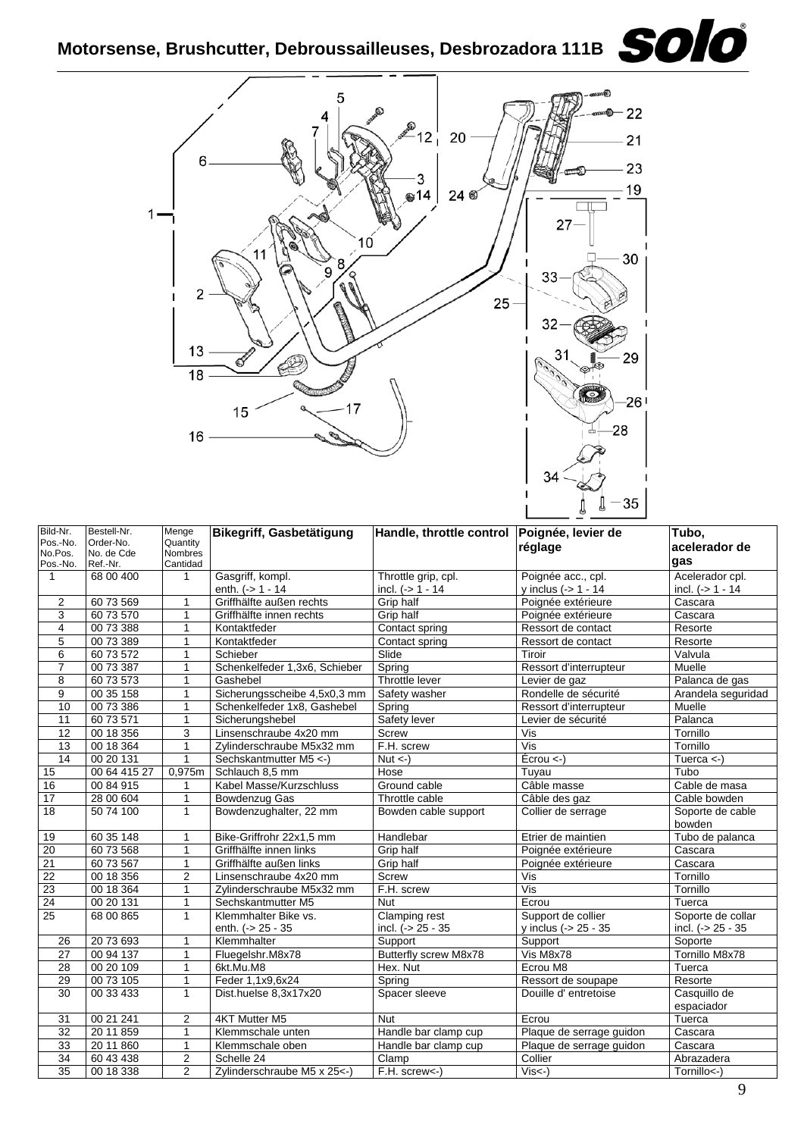

| Bild-Nr.<br>Pos.-No.<br>No.Pos.<br>Pos.-No. | Bestell-Nr.<br>Order-No.<br>No. de Cde<br>Ref.-Nr. | Menge<br>Quantity<br>Nombres<br>Cantidad | Bikegriff, Gasbetätigung       | Handle, throttle control Poignée, levier de | réglage                                | Tubo,<br>acelerador de<br>gas |
|---------------------------------------------|----------------------------------------------------|------------------------------------------|--------------------------------|---------------------------------------------|----------------------------------------|-------------------------------|
| $\mathbf{1}$                                | 68 00 400                                          | 1                                        | Gasgriff, kompl.               | Throttle grip, cpl.                         | Poignée acc., cpl.                     | Acelerador cpl.               |
|                                             |                                                    |                                          | enth. $(-) 1 - 14$             | incl. $(- > 1 - 14)$                        | y inclus $(-) 1 - 14$                  | incl. $(- > 1 - 14$           |
| $\overline{2}$                              | 60 73 569                                          | $\mathbf{1}$                             | Griffhälfte außen rechts       | <b>Grip half</b>                            | Poignée extérieure                     | Cascara                       |
| 3                                           | 60 73 570                                          | $\mathbf{1}$                             | Griffhälfte innen rechts       | Grip half                                   | Poignée extérieure                     | Cascara                       |
| 4                                           | 00 73 388                                          | $\mathbf{1}$                             | Kontaktfeder                   | Contact spring                              | Ressort de contact                     | Resorte                       |
| 5                                           | 00 73 389                                          | 1                                        | Kontaktfeder                   | Contact spring                              | Ressort de contact                     | Resorte                       |
| 6                                           | 60 73 572                                          | $\mathbf{1}$                             | Schieber                       | Slide                                       | Tiroir                                 | Valvula                       |
| $\overline{7}$                              | 00 73 387                                          | 1                                        | Schenkelfeder 1,3x6, Schieber  | Spring                                      | Ressort d'interrupteur                 | Muelle                        |
| 8                                           | 60 73 573                                          | 1                                        | Gashebel                       | Throttle lever                              | Levier de gaz                          | Palanca de gas                |
| 9                                           | 00 35 158                                          | 1                                        | Sicherungsscheibe 4,5x0,3 mm   | Safety washer                               | Rondelle de sécurité                   | Arandela seguridad            |
| 10                                          | 00 73 386                                          | $\mathbf{1}$                             | Schenkelfeder 1x8, Gashebel    | Spring                                      | Ressort d'interrupteur                 | Muelle                        |
| 11                                          | 60 73 571                                          | $\mathbf{1}$                             | Sicherungshebel                | Safety lever                                | Levier de sécurité                     | Palanca                       |
| 12                                          | 00 18 356                                          | 3                                        | Linsenschraube 4x20 mm         | Screw                                       | Vis                                    | Tornillo                      |
| $\overline{13}$                             | 00 18 364                                          | $\mathbf{1}$                             | Zylinderschraube M5x32 mm      | F.H. screw                                  | $\overline{\mathsf{Vis}}$              | Tornillo                      |
| $\overline{14}$                             | 00 20 131                                          | $\mathbf{1}$                             | Sechskantmutter M5 <- )        | $\overline{Nut}$ <-)                        | $\overline{E}$ crou <-)                | Tuerca $\leftarrow$           |
| 15                                          | 00 64 415 27                                       | 0,975m                                   | Schlauch 8,5 mm                | Hose                                        | Tuyau                                  | Tubo                          |
| 16                                          | 00 84 915                                          | 1                                        | Kabel Masse/Kurzschluss        | Ground cable                                | Câble masse                            | Cable de masa                 |
| 17                                          | 28 00 604                                          | 1                                        | Bowdenzug Gas                  | Throttle cable                              | Câble des gaz                          | Cable bowden                  |
| 18                                          | 50 74 100                                          | $\mathbf{1}$                             | Bowdenzughalter, 22 mm         | Bowden cable support                        | Collier de serrage                     | Soporte de cable<br>bowden    |
| 19                                          | 60 35 148                                          | $\mathbf{1}$                             | Bike-Griffrohr 22x1,5 mm       | Handlebar                                   | Etrier de maintien                     | Tubo de palanca               |
| 20                                          | 60 73 568                                          | $\mathbf{1}$                             | Griffhälfte innen links        | Grip half                                   | Poignée extérieure                     | Cascara                       |
| $\overline{21}$                             | 60 73 567                                          | $\mathbf{1}$                             | Griffhälfte außen links        | Grip half                                   | Poignée extérieure                     | Cascara                       |
| 22                                          | 00 18 356                                          | 2                                        | Linsenschraube 4x20 mm         | Screw                                       | Vis                                    | Tornillo                      |
| 23                                          | 00 18 364                                          | $\mathbf{1}$                             | Zylinderschraube M5x32 mm      | F.H. screw                                  | $\overline{\mathsf{Vis}}$              | Tornillo                      |
| 24                                          | 00 20 131                                          | $\mathbf{1}$                             | Sechskantmutter M5             | <b>Nut</b>                                  | Ecrou                                  | Tuerca                        |
| $\overline{25}$                             | 68 00 865                                          | $\mathbf{1}$                             | Klemmhalter Bike vs.           | Clamping rest                               | Support de collier                     | Soporte de collar             |
|                                             |                                                    |                                          | enth. $(-25 - 35)$             | incl. $(-)$ 25 - 35                         | y inclus (-> 25 - 35                   | incl. $(-25 - 35)$            |
| 26                                          | 20 73 693                                          | $\mathbf{1}$                             | Klemmhalter                    | Support                                     | Support                                | Soporte                       |
| 27                                          | 00 94 137                                          | $\mathbf{1}$                             | Fluegelshr.M8x78               | Butterfly screw M8x78                       | Vis M8x78                              | Tornillo M8x78                |
| 28                                          | 00 20 109                                          | $\mathbf{1}$                             | 6kt.Mu.M8                      | Hex. Nut                                    | Ecrou M8                               | Tuerca                        |
| 29                                          | 00 73 105                                          | $\mathbf{1}$                             | Feder 1, 1x9, 6x24             | Spring                                      | Ressort de soupape                     | Resorte                       |
| 30                                          | 00 33 433                                          | $\mathbf{1}$                             | Dist.huelse 8,3x17x20          | Spacer sleeve                               | Douille d'entretoise                   | Casquillo de                  |
|                                             | 00 21 241                                          | 2                                        | 4KT Mutter M5                  | <b>Nut</b>                                  |                                        | espaciador                    |
| 31<br>32                                    | 20 11 859                                          | 1                                        | Klemmschale unten              |                                             | Ecrou                                  | Tuerca                        |
|                                             |                                                    |                                          |                                | Handle bar clamp cup                        | Plaque de serrage guidon               | Cascara<br>Cascara            |
| 33<br>34                                    | 20 11 860<br>60 43 438                             | $\mathbf{1}$                             | Klemmschale oben<br>Schelle 24 | Handle bar clamp cup<br>Clamp               | Plaque de serrage guidon<br>Collier    | Abrazadera                    |
| 35                                          | 00 18 338                                          | 2<br>$\overline{2}$                      | Zylinderschraube M5 x 25<-     | F.H. screw<-)                               | $\overline{\mathsf{Vis}}$ $\leftarrow$ | Tornillo<-)                   |
|                                             |                                                    |                                          |                                |                                             |                                        |                               |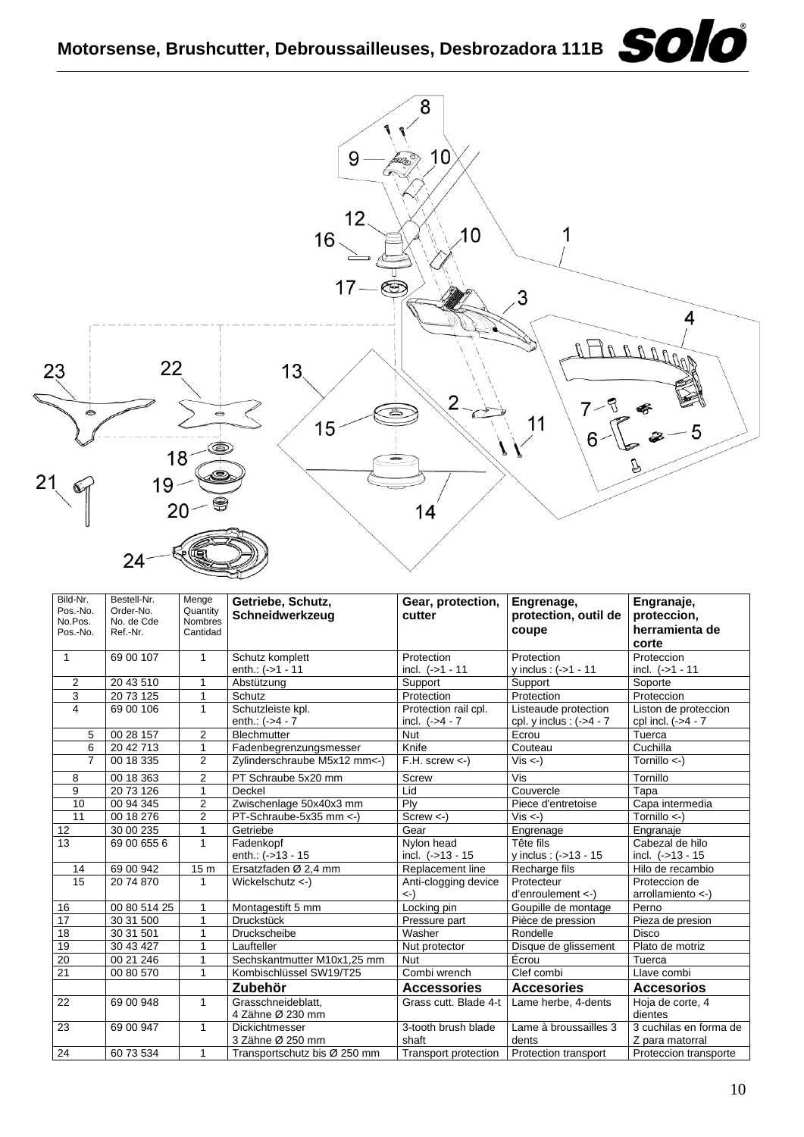

| Bild-Nr.<br>Pos.-No.<br>No.Pos.<br>Pos.-No. | Bestell-Nr.<br>Order-No.<br>No. de Cde<br>Ref.-Nr. | Menge<br>Quantity<br>Nombres<br>Cantidad | Getriebe, Schutz,<br>Schneidwerkzeug | Gear, protection,<br>cutter   | Engrenage,<br>protection, outil de<br>coupe | Engranaje,<br>proteccion,<br>herramienta de |
|---------------------------------------------|----------------------------------------------------|------------------------------------------|--------------------------------------|-------------------------------|---------------------------------------------|---------------------------------------------|
|                                             |                                                    |                                          |                                      |                               |                                             | corte                                       |
| $\mathbf{1}$                                | 69 00 107                                          | $\mathbf{1}$                             | Schutz komplett                      | Protection                    | Protection                                  | Proteccion                                  |
|                                             |                                                    |                                          | enth.: (->1 - 11                     | incl. $(-51 - 11)$            | v inclus: $(-51 - 11$                       | incl. (->1 - 11                             |
| $\overline{2}$                              | 20 43 510                                          | 1                                        | Abstützung                           | Support                       | Support                                     | Soporte                                     |
| 3                                           | 20 73 125                                          | 1                                        | Schutz                               | Protection                    | Protection                                  | Proteccion                                  |
| 4                                           | 69 00 106                                          | $\mathbf{1}$                             | Schutzleiste kpl.                    | Protection rail cpl.          | Listeaude protection                        | Liston de proteccion                        |
|                                             |                                                    |                                          | enth.: (->4 - 7                      | incl. $(-54 - 7)$             | cpl. y inclus : $(-54 - 7)$                 | cpl incl. (->4 - 7                          |
| 5                                           | 00 28 157                                          | $\overline{2}$                           | <b>Blechmutter</b>                   | <b>Nut</b>                    | Ecrou                                       | Tuerca                                      |
| 6                                           | 20 42 713                                          | $\mathbf{1}$                             | Fadenbegrenzungsmesser               | Knife                         | Couteau                                     | Cuchilla                                    |
| $\overline{7}$                              | 00 18 335                                          | 2                                        | Zylinderschraube M5x12 mm<-)         | $F.H.$ screw $\lt$ -)         | $Vis < -$ )                                 | Tornillo $\leftarrow$ )                     |
| 8                                           | 00 18 363                                          | $\overline{2}$                           | PT Schraube 5x20 mm                  | <b>Screw</b>                  | Vis                                         | Tornillo                                    |
| 9                                           | 20 73 126                                          | 1                                        | Deckel                               | Lid                           | Couvercle                                   | Tapa                                        |
| 10                                          | 00 94 345                                          | $\overline{2}$                           | Zwischenlage 50x40x3 mm              | Ply                           | Piece d'entretoise                          | Capa intermedia                             |
| 11                                          | 00 18 276                                          | $\overline{2}$                           | PT-Schraube-5x35 mm <- )             | $Screw < -$                   | $Vis < -$ )                                 | Tornillo <-)                                |
| 12                                          | 30 00 235                                          | 1                                        | Getriebe                             | Gear                          | Engrenage                                   | Engranaje                                   |
| 13                                          | 69 00 655 6                                        | $\mathbf{1}$                             | Fadenkopf                            | Nylon head                    | Tête fils                                   | Cabezal de hilo                             |
|                                             |                                                    |                                          | enth.: $(-513 - 15)$                 | incl. (->13 - 15              | y inclus: (->13 - 15                        | incl. $(-513 - 15)$                         |
| 14                                          | 69 00 942                                          | 15 <sub>m</sub>                          | Ersatzfaden Ø 2.4 mm                 | Replacement line              | Recharge fils                               | Hilo de recambio                            |
| 15                                          | 20 74 870                                          | $\mathbf{1}$                             | Wickelschutz <-)                     | Anti-clogging device          | Protecteur                                  | Proteccion de                               |
|                                             |                                                    |                                          |                                      | $\left\langle -\right\rangle$ | $d'enroulement <$ )                         | arrollamiento <-)                           |
| 16                                          | 00 80 514 25                                       | 1                                        | Montagestift 5 mm                    | Locking pin                   | Goupille de montage                         | Perno                                       |
| 17                                          | 30 31 500                                          | 1                                        | <b>Druckstück</b>                    | Pressure part                 | Pièce de pression                           | Pieza de presion                            |
| 18                                          | 30 31 501                                          | 1                                        | Druckscheibe                         | Washer                        | Rondelle                                    | <b>Disco</b>                                |
| 19                                          | 30 43 427                                          | 1                                        | Laufteller                           | Nut protector                 | Disque de glissement                        | Plato de motriz                             |
| $\overline{20}$                             | 00 21 246                                          | 1                                        | Sechskantmutter M10x1,25 mm          | <b>Nut</b>                    | Écrou                                       | Tuerca                                      |
| $\overline{21}$                             | 00 80 570                                          | 1                                        | Kombischlüssel SW19/T25              | Combi wrench                  | Clef combi                                  | Llave combi                                 |
|                                             |                                                    |                                          | Zubehör                              | <b>Accessories</b>            | <b>Accesories</b>                           | <b>Accesorios</b>                           |
| 22                                          | 69 00 948                                          | $\mathbf{1}$                             | Grasschneideblatt,                   | Grass cutt. Blade 4-t         | Lame herbe, 4-dents                         | Hoja de corte, 4                            |
|                                             |                                                    |                                          | 4 Zähne Ø 230 mm                     |                               |                                             | dientes                                     |
| 23                                          | 69 00 947                                          | $\mathbf{1}$                             | <b>Dickichtmesser</b>                | 3-tooth brush blade           | Lame à broussailles 3                       | 3 cuchilas en forma de                      |
|                                             |                                                    |                                          | 3 Zähne Ø 250 mm                     | shaft                         | dents                                       | Z para matorral                             |
| 24                                          | 60 73 534                                          | 1                                        | Transportschutz bis Ø 250 mm         | Transport protection          | Protection transport                        | Proteccion transporte                       |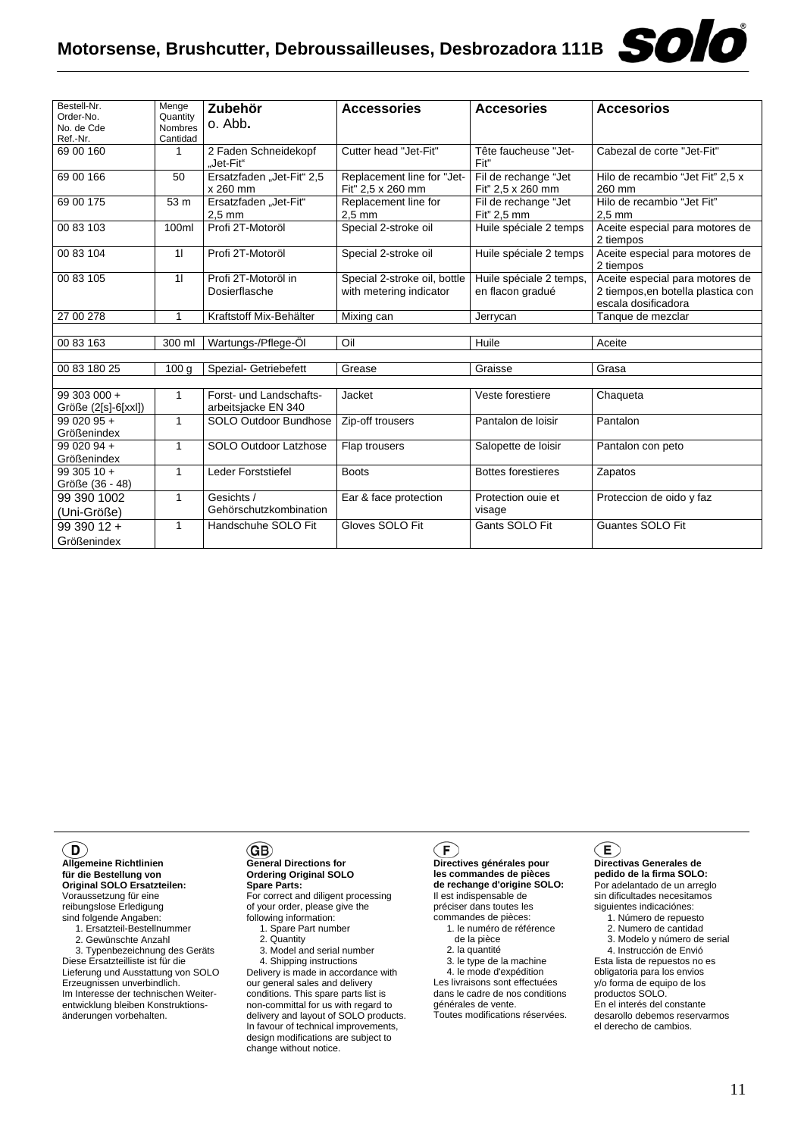| Bestell-Nr.<br>Order-No.<br>No. de Cde | Menge<br>Quantity<br><b>Nombres</b> | Zubehör<br>o. Abb.                             | <b>Accessories</b>                                      | <b>Accesories</b>                           | <b>Accesorios</b>                                                                            |
|----------------------------------------|-------------------------------------|------------------------------------------------|---------------------------------------------------------|---------------------------------------------|----------------------------------------------------------------------------------------------|
| Ref.-Nr.                               | Cantidad                            |                                                |                                                         |                                             |                                                                                              |
| 69 00 160                              | 1                                   | 2 Faden Schneidekopf<br>"Jet-Fit"              | Cutter head "Jet-Fit"                                   | Tête faucheuse "Jet-<br>Fit"                | Cabezal de corte "Jet-Fit"                                                                   |
| 69 00 166                              | 50                                  | Ersatzfaden "Jet-Fit" 2,5<br>x 260 mm          | Replacement line for "Jet-<br>Fit" 2,5 x 260 mm         | Fil de rechange "Jet<br>Fit" 2,5 x 260 mm   | Hilo de recambio "Jet Fit" 2,5 x<br>260 mm                                                   |
| 69 00 175                              | 53 m                                | Ersatzfaden "Jet-Fit"<br>$2.5 \text{ mm}$      | Replacement line for<br>$2.5 \text{ mm}$                | Fil de rechange "Jet<br>Fit" 2.5 mm         | Hilo de recambio "Jet Fit"<br>$2.5 \text{ mm}$                                               |
| 00 83 103                              | 100ml                               | Profi 2T-Motoröl                               | Special 2-stroke oil                                    | Huile spéciale 2 temps                      | Aceite especial para motores de<br>2 tiempos                                                 |
| 00 83 104                              | 11                                  | Profi 2T-Motoröl                               | Special 2-stroke oil                                    | Huile spéciale 2 temps                      | Aceite especial para motores de<br>2 tiempos                                                 |
| 00 83 105                              | 11                                  | Profi 2T-Motoröl in<br>Dosierflasche           | Special 2-stroke oil, bottle<br>with metering indicator | Huile spéciale 2 temps,<br>en flacon gradué | Aceite especial para motores de<br>2 tiempos, en botella plastica con<br>escala dosificadora |
| 27 00 278                              | 1                                   | Kraftstoff Mix-Behälter                        | Mixing can                                              | Jerrycan                                    | Tanque de mezclar                                                                            |
|                                        |                                     |                                                |                                                         |                                             |                                                                                              |
| 00 83 163                              | 300 ml                              | Wartungs-/Pflege-Öl                            | Oil                                                     | Huile                                       | Aceite                                                                                       |
|                                        |                                     |                                                |                                                         |                                             |                                                                                              |
| 00 83 180 25                           | 100 <sub>g</sub>                    | Spezial- Getriebefett                          | Grease                                                  | Graisse                                     | Grasa                                                                                        |
|                                        |                                     |                                                |                                                         |                                             |                                                                                              |
| 99 303 000 +<br>Größe (2[s]-6[xxl])    | 1                                   | Forst- und Landschafts-<br>arbeitsjacke EN 340 | Jacket                                                  | Veste forestiere                            | Chaqueta                                                                                     |
| $9902095 +$<br>Größenindex             | $\mathbf{1}$                        | SOLO Outdoor Bundhose                          | Zip-off trousers                                        | Pantalon de loisir                          | Pantalon                                                                                     |
| 99 020 94 +<br>Größenindex             | $\mathbf{1}$                        | <b>SOLO Outdoor Latzhose</b>                   | Flap trousers                                           | Salopette de loisir                         | Pantalon con peto                                                                            |
| $9930510 +$<br>Größe (36 - 48)         | 1                                   | Leder Forststiefel                             | <b>Boots</b>                                            | <b>Bottes forestieres</b>                   | Zapatos                                                                                      |
| 99 390 1002<br>(Uni-Größe)             | 1                                   | Gesichts /<br>Gehörschutzkombination           | Ear & face protection                                   | Protection ouie et<br>visage                | Proteccion de oido y faz                                                                     |
| 99 390 12 +<br>Größenindex             | 1                                   | Handschuhe SOLO Fit                            | Gloves SOLO Fit                                         | Gants SOLO Fit                              | <b>Guantes SOLO Fit</b>                                                                      |

#### $\mathbf{D}$

**Allgemeine Richtlinien für die Bestellung von Original SOLO Ersatzteilen:** Voraussetzung für eine reibungslose Erledigung sind folgende Angaben:

1. Ersatzteil-Bestellnummer

2. Gewünschte Anzahl

 3. Typenbezeichnung des Geräts Diese Ersatzteilliste ist für die Lieferung und Ausstattung von SOLO Erzeugnissen unverbindlich. Im Interesse der technischen Weiterentwicklung bleiben Konstruktionsänderungen vorbehalten.

#### GB)

#### **General Directions for Ordering Original SOLO Spare Parts:**

For correct and diligent processing of your order, please give the following information:

1. Spare Part number

 2. Quantity 3. Model and serial number

4. Shipping instructions

Delivery is made in accordance with our general sales and delivery conditions. This spare parts list is non-committal for us with regard to delivery and layout of SOLO products. In favour of technical improvements, design modifications are subject to change without notice.

#### $\big($ F $\big)$

**Directives générales pour les commandes de pièces de rechange d'origine SOLO:** Il est indispensable de préciser dans toutes les commandes de pièces: 1. le numéro de référence

de la pièce

2. la quantité

 3. le type de la machine 4. le mode d'expédition Les livraisons sont effectuées dans le cadre de nos conditions

générales de vente. Toutes modifications réservées.

#### Œ

**Directivas Generales de pedido de la firma SOLO:** Por adelantado de un arreglo sin dificultades necesitamos siguientes indicaciónes:

- 1. Número de repuesto
- 2. Numero de cantidad 3. Modelo y número de serial

4. Instrucción de Envió

Esta lista de repuestos no es obligatoria para los envios y/o forma de equipo de los productos SOLO. En el interés del constante desarollo debemos reservarmos el derecho de cambios.